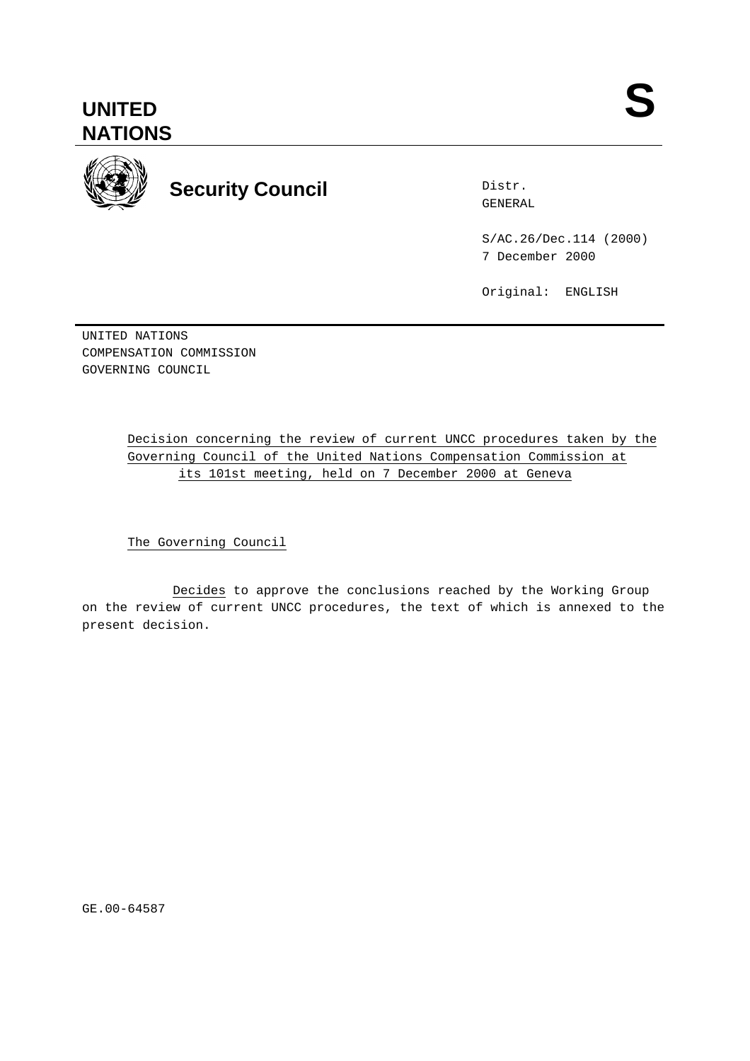

# **Security Council Security Council Security** COUNCIL **SENERAL**

Distr.

S/AC.26/Dec.114 (2000) 7 December 2000

Original: ENGLISH

UNITED NATIONS COMPENSATION COMMISSION GOVERNING COUNCIL

# Decision concerning the review of current UNCC procedures taken by the Governing Council of the United Nations Compensation Commission at its 101st meeting, held on 7 December 2000 at Geneva

The Governing Council

Decides to approve the conclusions reached by the Working Group on the review of current UNCC procedures, the text of which is annexed to the present decision.

GE.00-64587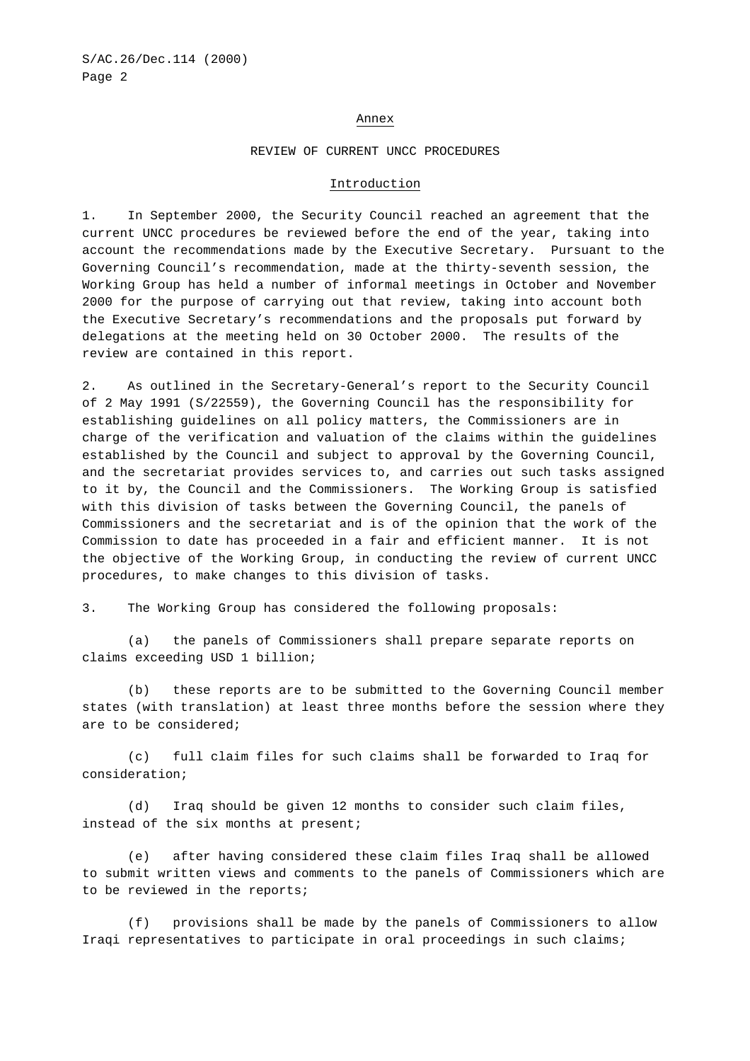### Annex

#### REVIEW OF CURRENT UNCC PROCEDURES

#### Introduction

1. In September 2000, the Security Council reached an agreement that the current UNCC procedures be reviewed before the end of the year, taking into account the recommendations made by the Executive Secretary. Pursuant to the Governing Council's recommendation, made at the thirty-seventh session, the Working Group has held a number of informal meetings in October and November 2000 for the purpose of carrying out that review, taking into account both the Executive Secretary's recommendations and the proposals put forward by delegations at the meeting held on 30 October 2000. The results of the review are contained in this report.

2. As outlined in the Secretary-General's report to the Security Council of 2 May 1991 (S/22559), the Governing Council has the responsibility for establishing guidelines on all policy matters, the Commissioners are in charge of the verification and valuation of the claims within the guidelines established by the Council and subject to approval by the Governing Council, and the secretariat provides services to, and carries out such tasks assigned to it by, the Council and the Commissioners.The Working Group is satisfied with this division of tasks between the Governing Council, the panels of Commissioners and the secretariat and is of the opinion that the work of the Commission to date has proceeded in a fair and efficient manner. It is not the objective of the Working Group, in conducting the review of current UNCC procedures, to make changes to this division of tasks.

3. The Working Group has considered the following proposals:

(a) the panels of Commissioners shall prepare separate reports on claims exceeding USD 1 billion;

(b) these reports are to be submitted to the Governing Council member states (with translation) at least three months before the session where they are to be considered;

(c) full claim files for such claims shall be forwarded to Iraq for consideration;

(d) Iraq should be given 12 months to consider such claim files, instead of the six months at present;

(e) after having considered these claim files Iraq shall be allowed to submit written views and comments to the panels of Commissioners which are to be reviewed in the reports;

(f) provisions shall be made by the panels of Commissioners to allow Iraqi representatives to participate in oral proceedings in such claims;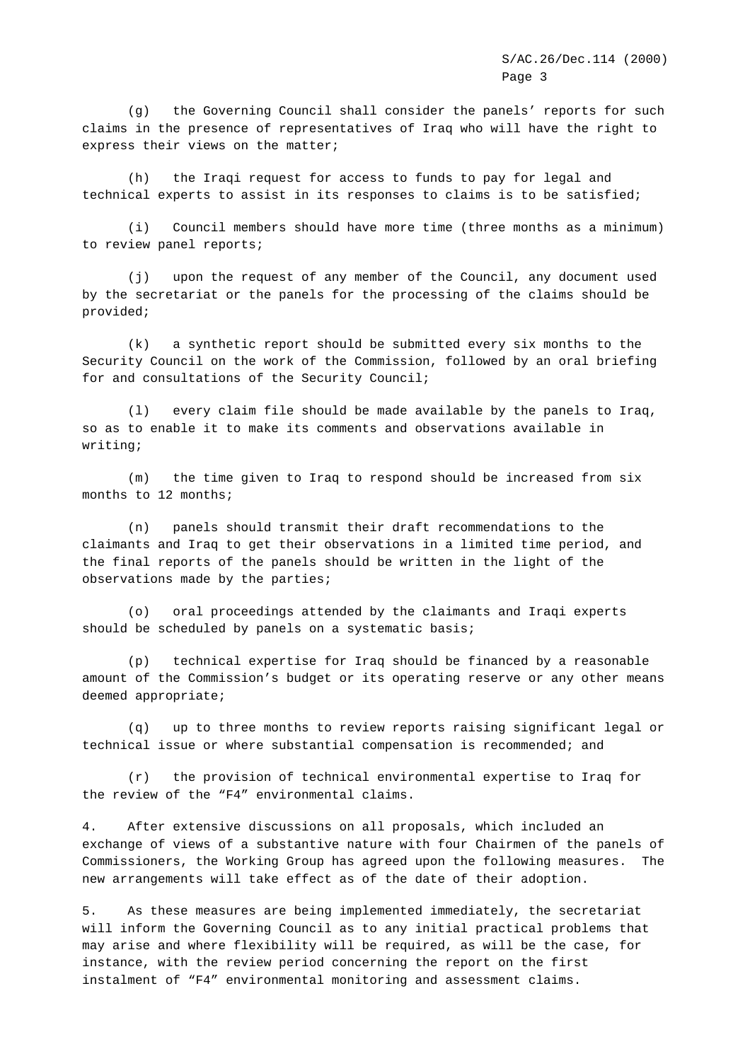(g) the Governing Council shall consider the panels' reports for such claims in the presence of representatives of Iraq who will have the right to express their views on the matter;

(h) the Iraqi request for access to funds to pay for legal and technical experts to assist in its responses to claims is to be satisfied;

(i) Council members should have more time (three months as a minimum) to review panel reports;

(j) upon the request of any member of the Council, any document used by the secretariat or the panels for the processing of the claims should be provided;

(k) a synthetic report should be submitted every six months to the Security Council on the work of the Commission, followed by an oral briefing for and consultations of the Security Council;

(l) every claim file should be made available by the panels to Iraq, so as to enable it to make its comments and observations available in writing;

(m) the time given to Iraq to respond should be increased from six months to 12 months;

(n) panels should transmit their draft recommendations to the claimants and Iraq to get their observations in a limited time period, and the final reports of the panels should be written in the light of the observations made by the parties;

(o) oral proceedings attended by the claimants and Iraqi experts should be scheduled by panels on a systematic basis;

(p) technical expertise for Iraq should be financed by a reasonable amount of the Commission's budget or its operating reserve or any other means deemed appropriate;

(q) up to three months to review reports raising significant legal or technical issue or where substantial compensation is recommended; and

(r) the provision of technical environmental expertise to Iraq for the review of the "F4" environmental claims.

4. After extensive discussions on all proposals, which included an exchange of views of a substantive nature with four Chairmen of the panels of Commissioners, the Working Group has agreed upon the following measures. The new arrangements will take effect as of the date of their adoption.

5. As these measures are being implemented immediately, the secretariat will inform the Governing Council as to any initial practical problems that may arise and where flexibility will be required, as will be the case, for instance, with the review period concerning the report on the first instalment of "F4" environmental monitoring and assessment claims.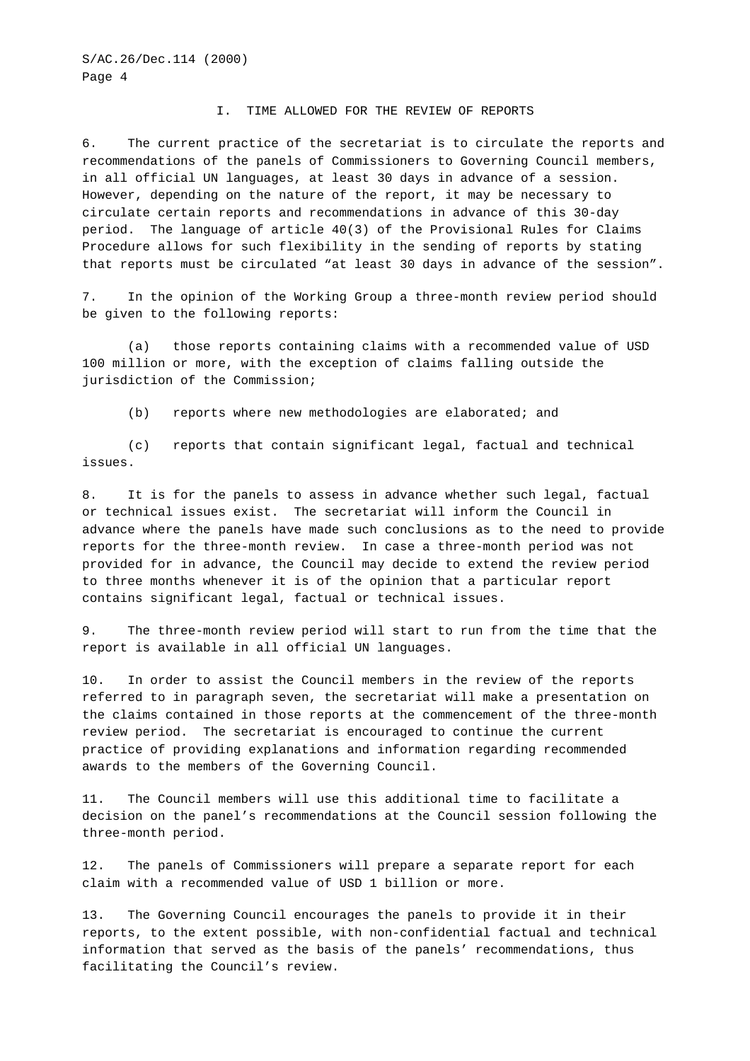#### I. TIME ALLOWED FOR THE REVIEW OF REPORTS

6. The current practice of the secretariat is to circulate the reports and recommendations of the panels of Commissioners to Governing Council members, in all official UN languages, at least 30 days in advance of a session. However, depending on the nature of the report, it may be necessary to circulate certain reports and recommendations in advance of this 30-day period. The language of article 40(3) of the Provisional Rules for Claims Procedure allows for such flexibility in the sending of reports by stating that reports must be circulated "at least 30 days in advance of the session".

7. In the opinion of the Working Group a three-month review period should be given to the following reports:

(a) those reports containing claims with a recommended value of USD 100 million or more, with the exception of claims falling outside the jurisdiction of the Commission;

(b) reports where new methodologies are elaborated; and

(c) reports that contain significant legal, factual and technical issues.

8. It is for the panels to assess in advance whether such legal, factual or technical issues exist. The secretariat will inform the Council in advance where the panels have made such conclusions as to the need to provide reports for the three-month review. In case a three-month period was not provided for in advance, the Council may decide to extend the review period to three months whenever it is of the opinion that a particular report contains significant legal, factual or technical issues.

9. The three-month review period will start to run from the time that the report is available in all official UN languages.

10. In order to assist the Council members in the review of the reports referred to in paragraph seven, the secretariat will make a presentation on the claims contained in those reports at the commencement of the three-month review period. The secretariat is encouraged to continue the current practice of providing explanations and information regarding recommended awards to the members of the Governing Council.

11. The Council members will use this additional time to facilitate a decision on the panel's recommendations at the Council session following the three-month period.

12. The panels of Commissioners will prepare a separate report for each claim with a recommended value of USD 1 billion or more.

13. The Governing Council encourages the panels to provide it in their reports, to the extent possible, with non-confidential factual and technical information that served as the basis of the panels' recommendations, thus facilitating the Council's review.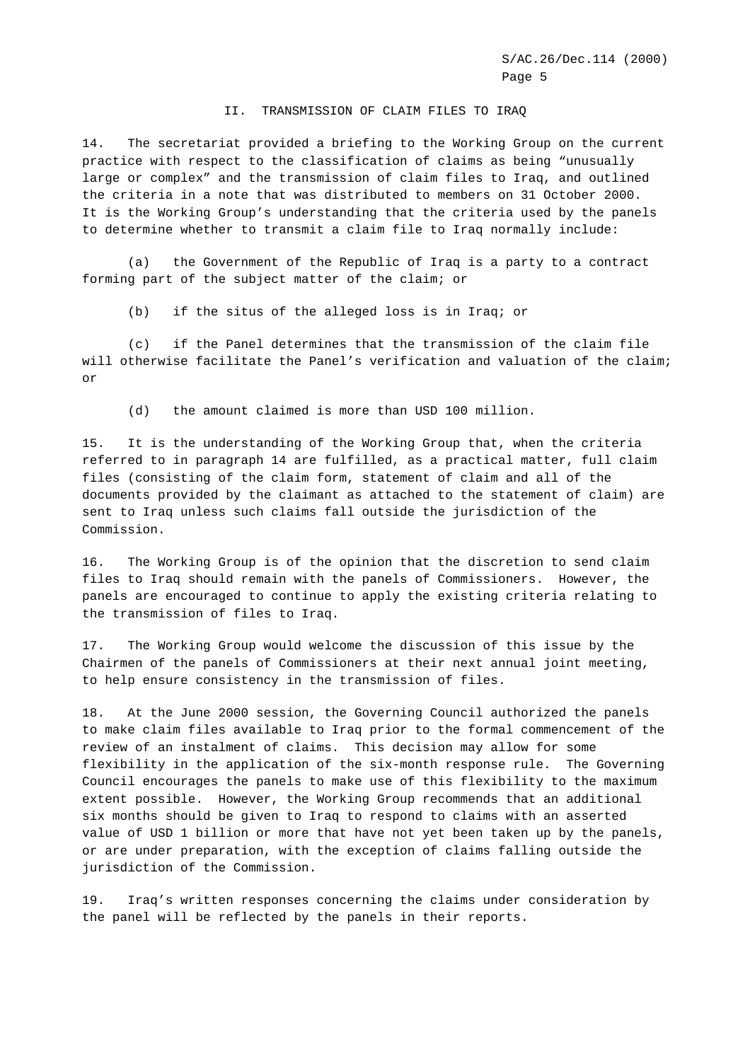# II. TRANSMISSION OF CLAIM FILES TO IRAQ

14. The secretariat provided a briefing to the Working Group on the current practice with respect to the classification of claims as being "unusually large or complex" and the transmission of claim files to Iraq, and outlined the criteria in a note that was distributed to members on 31 October 2000. It is the Working Group's understanding that the criteria used by the panels to determine whether to transmit a claim file to Iraq normally include:

(a) the Government of the Republic of Iraq is a party to a contract forming part of the subject matter of the claim; or

(b) if the situs of the alleged loss is in Iraq; or

(c) if the Panel determines that the transmission of the claim file will otherwise facilitate the Panel's verification and valuation of the claim; or

(d) the amount claimed is more than USD 100 million.

15. It is the understanding of the Working Group that, when the criteria referred to in paragraph 14 are fulfilled, as a practical matter, full claim files (consisting of the claim form, statement of claim and all of the documents provided by the claimant as attached to the statement of claim) are sent to Iraq unless such claims fall outside the jurisdiction of the Commission.

16. The Working Group is of the opinion that the discretion to send claim files to Iraq should remain with the panels of Commissioners. However, the panels are encouraged to continue to apply the existing criteria relating to the transmission of files to Iraq.

17. The Working Group would welcome the discussion of this issue by the Chairmen of the panels of Commissioners at their next annual joint meeting, to help ensure consistency in the transmission of files.

18. At the June 2000 session, the Governing Council authorized the panels to make claim files available to Iraq prior to the formal commencement of the review of an instalment of claims. This decision may allow for some flexibility in the application of the six-month response rule. The Governing Council encourages the panels to make use of this flexibility to the maximum extent possible. However, the Working Group recommends that an additional six months should be given to Iraq to respond to claims with an asserted value of USD 1 billion or more that have not yet been taken up by the panels, or are under preparation, with the exception of claims falling outside the jurisdiction of the Commission.

19. Iraq's written responses concerning the claims under consideration by the panel will be reflected by the panels in their reports.